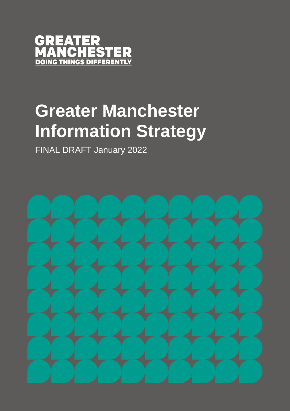

# **Greater Manchester Information Strategy**

FINAL DRAFT January 2022

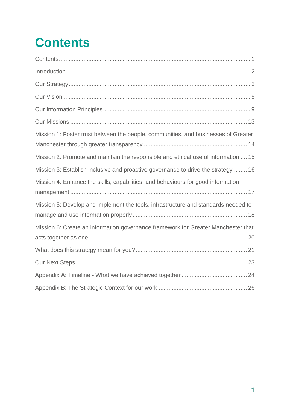# <span id="page-1-0"></span>**Contents**

| Mission 1: Foster trust between the people, communities, and businesses of Greater |
|------------------------------------------------------------------------------------|
| Mission 2: Promote and maintain the responsible and ethical use of information  15 |
| Mission 3: Establish inclusive and proactive governance to drive the strategy  16  |
| Mission 4: Enhance the skills, capabilities, and behaviours for good information   |
| Mission 5: Develop and implement the tools, infrastructure and standards needed to |
| Mission 6: Create an information governance framework for Greater Manchester that  |
|                                                                                    |
|                                                                                    |
|                                                                                    |
|                                                                                    |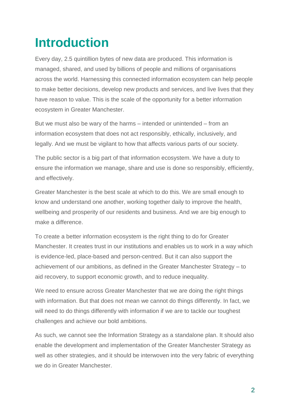# <span id="page-2-0"></span>**Introduction**

Every day, 2.5 quintillion bytes of new data are produced. This information is managed, shared, and used by billions of people and millions of organisations across the world. Harnessing this connected information ecosystem can help people to make better decisions, develop new products and services, and live lives that they have reason to value. This is the scale of the opportunity for a better information ecosystem in Greater Manchester.

But we must also be wary of the harms – intended or unintended – from an information ecosystem that does not act responsibly, ethically, inclusively, and legally. And we must be vigilant to how that affects various parts of our society.

The public sector is a big part of that information ecosystem. We have a duty to ensure the information we manage, share and use is done so responsibly, efficiently, and effectively.

Greater Manchester is the best scale at which to do this. We are small enough to know and understand one another, working together daily to improve the health, wellbeing and prosperity of our residents and business. And we are big enough to make a difference.

To create a better information ecosystem is the right thing to do for Greater Manchester. It creates trust in our institutions and enables us to work in a way which is evidence-led, place-based and person-centred. But it can also support the achievement of our ambitions, as defined in the Greater Manchester Strategy – to aid recovery, to support economic growth, and to reduce inequality.

We need to ensure across Greater Manchester that we are doing the right things with information. But that does not mean we cannot do things differently. In fact, we will need to do things differently with information if we are to tackle our toughest challenges and achieve our bold ambitions.

As such, we cannot see the Information Strategy as a standalone plan. It should also enable the development and implementation of the Greater Manchester Strategy as well as other strategies, and it should be interwoven into the very fabric of everything we do in Greater Manchester.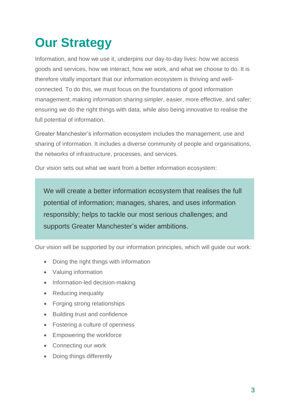# <span id="page-3-0"></span>**Our Strategy**

Information, and how we use it, underpins our day-to-day lives: how we access goods and services, how we interact, how we work, and what we choose to do. It is therefore vitally important that our information ecosystem is thriving and wellconnected. To do this, we must focus on the foundations of good information management; making information sharing simpler, easier, more effective, and safer; ensuring we do the right things with data, while also being innovative to realise the full potential of information.

Greater Manchester's information ecosystem includes the management, use and sharing of information. It includes a diverse community of people and organisations, the networks of infrastructure, processes, and services.

Our vision sets out what we want from a better information ecosystem:

We will create a better information ecosystem that realises the full potential of information; manages, shares, and uses information responsibly; helps to tackle our most serious challenges; and supports Greater Manchester's wider ambitions.

Our vision will be supported by our information principles, which will guide our work:

- Doing the right things with information
- Valuing information
- Information-led decision-making
- Reducing inequality
- Forging strong relationships
- Building trust and confidence
- Fostering a culture of openness
- Empowering the workforce
- Connecting our work
- Doing things differently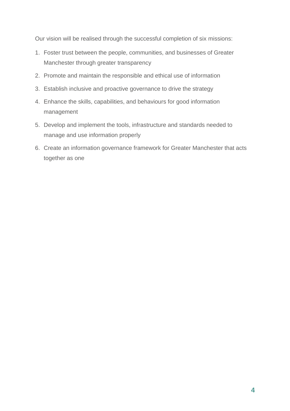Our vision will be realised through the successful completion of six missions:

- 1. Foster trust between the people, communities, and businesses of Greater Manchester through greater transparency
- 2. Promote and maintain the responsible and ethical use of information
- 3. Establish inclusive and proactive governance to drive the strategy
- 4. Enhance the skills, capabilities, and behaviours for good information management
- 5. Develop and implement the tools, infrastructure and standards needed to manage and use information properly
- 6. Create an information governance framework for Greater Manchester that acts together as one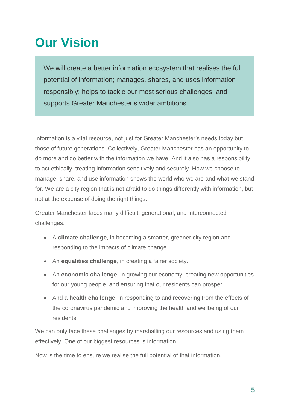# <span id="page-5-0"></span>**Our Vision**

We will create a better information ecosystem that realises the full potential of information; manages, shares, and uses information responsibly; helps to tackle our most serious challenges; and supports Greater Manchester's wider ambitions.

Information is a vital resource, not just for Greater Manchester's needs today but those of future generations. Collectively, Greater Manchester has an opportunity to do more and do better with the information we have. And it also has a responsibility to act ethically, treating information sensitively and securely. How we choose to manage, share, and use information shows the world who we are and what we stand for. We are a city region that is not afraid to do things differently with information, but not at the expense of doing the right things.

Greater Manchester faces many difficult, generational, and interconnected challenges:

- A **climate challenge**, in becoming a smarter, greener city region and responding to the impacts of climate change.
- An **equalities challenge**, in creating a fairer society.
- An **economic challenge**, in growing our economy, creating new opportunities for our young people, and ensuring that our residents can prosper.
- And a **health challenge**, in responding to and recovering from the effects of the coronavirus pandemic and improving the health and wellbeing of our residents.

We can only face these challenges by marshalling our resources and using them effectively. One of our biggest resources is information.

Now is the time to ensure we realise the full potential of that information.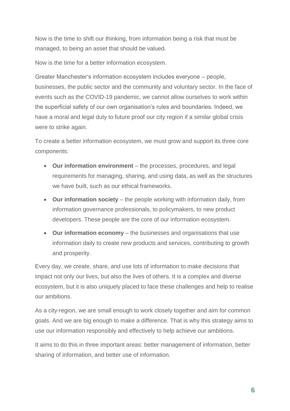Now is the time to shift our thinking, from information being a risk that must be managed, to being an asset that should be valued.

Now is the time for a better information ecosystem.

Greater Manchester's information ecosystem includes everyone – people, businesses, the public sector and the community and voluntary sector. In the face of events such as the COVID-19 pandemic, we cannot allow ourselves to work within the superficial safety of our own organisation's rules and boundaries. Indeed, we have a moral and legal duty to future proof our city region if a similar global crisis were to strike again.

To create a better information ecosystem, we must grow and support its three core components:

- **Our information environment** the processes, procedures, and legal requirements for managing, sharing, and using data, as well as the structures we have built, such as our ethical frameworks.
- **Our information society** the people working with information daily, from information governance professionals, to policymakers, to new product developers. These people are the core of our information ecosystem.
- **Our information economy** the businesses and organisations that use information daily to create new products and services, contributing to growth and prosperity.

Every day, we create, share, and use lots of information to make decisions that impact not only our lives, but also the lives of others. It is a complex and diverse ecosystem, but it is also uniquely placed to face these challenges and help to realise our ambitions.

As a city-region, we are small enough to work closely together and aim for common goals. And we are big enough to make a difference. That is why this strategy aims to use our information responsibly and effectively to help achieve our ambitions.

It aims to do this in three important areas: better management of information, better sharing of information, and better use of information.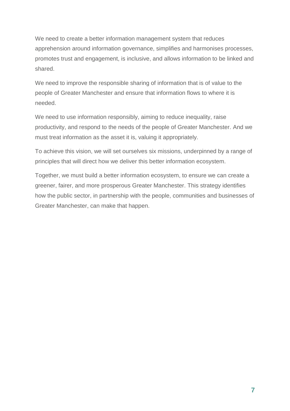We need to create a better information management system that reduces apprehension around information governance, simplifies and harmonises processes, promotes trust and engagement, is inclusive, and allows information to be linked and shared.

We need to improve the responsible sharing of information that is of value to the people of Greater Manchester and ensure that information flows to where it is needed.

We need to use information responsibly, aiming to reduce inequality, raise productivity, and respond to the needs of the people of Greater Manchester. And we must treat information as the asset it is, valuing it appropriately.

To achieve this vision, we will set ourselves six missions, underpinned by a range of principles that will direct how we deliver this better information ecosystem.

Together, we must build a better information ecosystem, to ensure we can create a greener, fairer, and more prosperous Greater Manchester. This strategy identifies how the public sector, in partnership with the people, communities and businesses of Greater Manchester, can make that happen.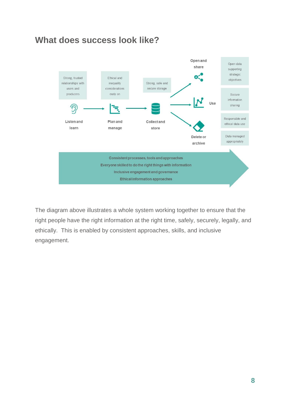



The diagram above illustrates a whole system working together to ensure that the right people have the right information at the right time, safely, securely, legally, and ethically. This is enabled by consistent approaches, skills, and inclusive engagement.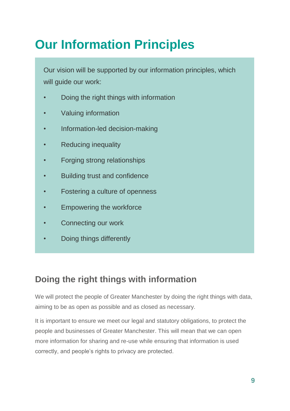# <span id="page-9-0"></span>**Our Information Principles**

Our vision will be supported by our information principles, which will guide our work:

- Doing the right things with information
- Valuing information
- Information-led decision-making
- Reducing inequality
- Forging strong relationships
- Building trust and confidence
- Fostering a culture of openness
- Empowering the workforce
- Connecting our work
- Doing things differently

### **Doing the right things with information**

We will protect the people of Greater Manchester by doing the right things with data, aiming to be as open as possible and as closed as necessary.

It is important to ensure we meet our legal and statutory obligations, to protect the people and businesses of Greater Manchester. This will mean that we can open more information for sharing and re-use while ensuring that information is used correctly, and people's rights to privacy are protected.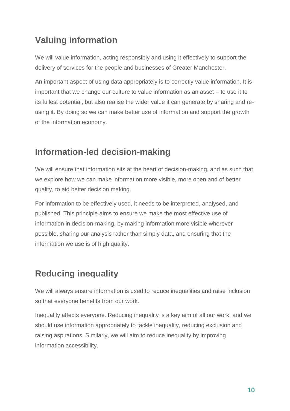## **Valuing information**

We will value information, acting responsibly and using it effectively to support the delivery of services for the people and businesses of Greater Manchester.

An important aspect of using data appropriately is to correctly value information. It is important that we change our culture to value information as an asset – to use it to its fullest potential, but also realise the wider value it can generate by sharing and reusing it. By doing so we can make better use of information and support the growth of the information economy.

### **Information-led decision-making**

We will ensure that information sits at the heart of decision-making, and as such that we explore how we can make information more visible, more open and of better quality, to aid better decision making.

For information to be effectively used, it needs to be interpreted, analysed, and published. This principle aims to ensure we make the most effective use of information in decision-making, by making information more visible wherever possible, sharing our analysis rather than simply data, and ensuring that the information we use is of high quality.

### **Reducing inequality**

We will always ensure information is used to reduce inequalities and raise inclusion so that everyone benefits from our work.

Inequality affects everyone. Reducing inequality is a key aim of all our work, and we should use information appropriately to tackle inequality, reducing exclusion and raising aspirations. Similarly, we will aim to reduce inequality by improving information accessibility.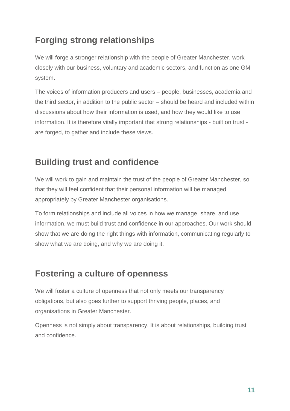### **Forging strong relationships**

We will forge a stronger relationship with the people of Greater Manchester, work closely with our business, voluntary and academic sectors, and function as one GM system.

The voices of information producers and users – people, businesses, academia and the third sector, in addition to the public sector – should be heard and included within discussions about how their information is used, and how they would like to use information. It is therefore vitally important that strong relationships - built on trust are forged, to gather and include these views.

### **Building trust and confidence**

We will work to gain and maintain the trust of the people of Greater Manchester, so that they will feel confident that their personal information will be managed appropriately by Greater Manchester organisations.

To form relationships and include all voices in how we manage, share, and use information, we must build trust and confidence in our approaches. Our work should show that we are doing the right things with information, communicating regularly to show what we are doing, and why we are doing it.

### **Fostering a culture of openness**

We will foster a culture of openness that not only meets our transparency obligations, but also goes further to support thriving people, places, and organisations in Greater Manchester.

Openness is not simply about transparency. It is about relationships, building trust and confidence.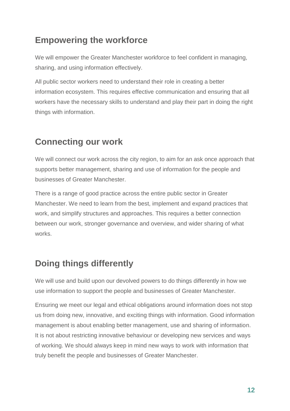### **Empowering the workforce**

We will empower the Greater Manchester workforce to feel confident in managing, sharing, and using information effectively.

All public sector workers need to understand their role in creating a better information ecosystem. This requires effective communication and ensuring that all workers have the necessary skills to understand and play their part in doing the right things with information.

### **Connecting our work**

We will connect our work across the city region, to aim for an ask once approach that supports better management, sharing and use of information for the people and businesses of Greater Manchester.

There is a range of good practice across the entire public sector in Greater Manchester. We need to learn from the best, implement and expand practices that work, and simplify structures and approaches. This requires a better connection between our work, stronger governance and overview, and wider sharing of what works.

## **Doing things differently**

We will use and build upon our devolved powers to do things differently in how we use information to support the people and businesses of Greater Manchester.

Ensuring we meet our legal and ethical obligations around information does not stop us from doing new, innovative, and exciting things with information. Good information management is about enabling better management, use and sharing of information. It is not about restricting innovative behaviour or developing new services and ways of working. We should always keep in mind new ways to work with information that truly benefit the people and businesses of Greater Manchester.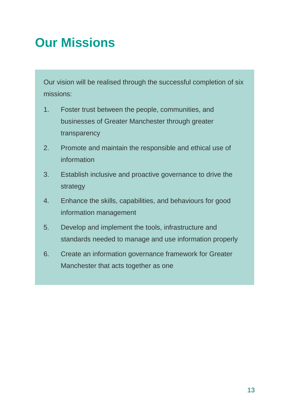## <span id="page-13-0"></span>**Our Missions**

Our vision will be realised through the successful completion of six missions:

- 1. Foster trust between the people, communities, and businesses of Greater Manchester through greater transparency
- 2. Promote and maintain the responsible and ethical use of information
- 3. Establish inclusive and proactive governance to drive the strategy
- 4. Enhance the skills, capabilities, and behaviours for good information management
- 5. Develop and implement the tools, infrastructure and standards needed to manage and use information properly
- 6. Create an information governance framework for Greater Manchester that acts together as one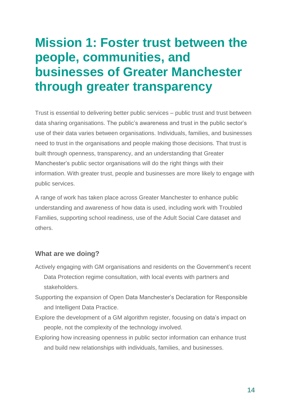## <span id="page-14-0"></span>**Mission 1: Foster trust between the people, communities, and businesses of Greater Manchester through greater transparency**

Trust is essential to delivering better public services – public trust and trust between data sharing organisations. The public's awareness and trust in the public sector's use of their data varies between organisations. Individuals, families, and businesses need to trust in the organisations and people making those decisions. That trust is built through openness, transparency, and an understanding that Greater Manchester's public sector organisations will do the right things with their information. With greater trust, people and businesses are more likely to engage with public services.

A range of work has taken place across Greater Manchester to enhance public understanding and awareness of how data is used, including work with Troubled Families, supporting school readiness, use of the Adult Social Care dataset and others.

- Actively engaging with GM organisations and residents on the Government's recent Data Protection regime consultation, with local events with partners and stakeholders.
- Supporting the expansion of Open Data Manchester's Declaration for Responsible and Intelligent Data Practice.
- Explore the development of a GM algorithm register, focusing on data's impact on people, not the complexity of the technology involved.
- Exploring how increasing openness in public sector information can enhance trust and build new relationships with individuals, families, and businesses.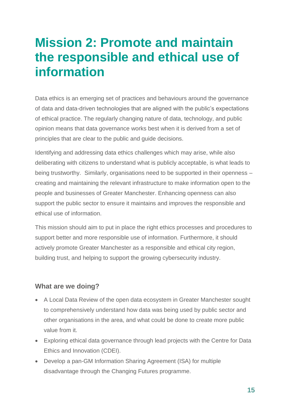## <span id="page-15-0"></span>**Mission 2: Promote and maintain the responsible and ethical use of information**

Data ethics is an emerging set of practices and behaviours around the governance of data and data-driven technologies that are aligned with the public's expectations of ethical practice. The regularly changing nature of data, technology, and public opinion means that data governance works best when it is derived from a set of principles that are clear to the public and guide decisions.

Identifying and addressing data ethics challenges which may arise, while also deliberating with citizens to understand what is publicly acceptable, is what leads to being trustworthy. Similarly, organisations need to be supported in their openness – creating and maintaining the relevant infrastructure to make information open to the people and businesses of Greater Manchester. Enhancing openness can also support the public sector to ensure it maintains and improves the responsible and ethical use of information.

This mission should aim to put in place the right ethics processes and procedures to support better and more responsible use of information. Furthermore, it should actively promote Greater Manchester as a responsible and ethical city region, building trust, and helping to support the growing cybersecurity industry.

- A Local Data Review of the open data ecosystem in Greater Manchester sought to comprehensively understand how data was being used by public sector and other organisations in the area, and what could be done to create more public value from it.
- Exploring ethical data governance through lead projects with the Centre for Data Ethics and Innovation (CDEI).
- Develop a pan-GM Information Sharing Agreement (ISA) for multiple disadvantage through the Changing Futures programme.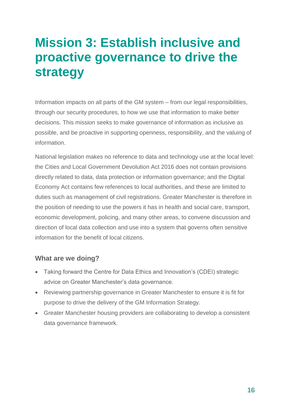## <span id="page-16-0"></span>**Mission 3: Establish inclusive and proactive governance to drive the strategy**

Information impacts on all parts of the GM system – from our legal responsibilities, through our security procedures, to how we use that information to make better decisions. This mission seeks to make governance of information as inclusive as possible, and be proactive in supporting openness, responsibility, and the valuing of information.

National legislation makes no reference to data and technology use at the local level: the Cities and Local Government Devolution Act 2016 does not contain provisions directly related to data, data protection or information governance; and the Digital Economy Act contains few references to local authorities, and these are limited to duties such as management of civil registrations. Greater Manchester is therefore in the position of needing to use the powers it has in health and social care, transport, economic development, policing, and many other areas, to convene discussion and direction of local data collection and use into a system that governs often sensitive information for the benefit of local citizens.

- Taking forward the Centre for Data Ethics and Innovation's (CDEI) strategic advice on Greater Manchester's data governance.
- Reviewing partnership governance in Greater Manchester to ensure it is fit for purpose to drive the delivery of the GM Information Strategy.
- Greater Manchester housing providers are collaborating to develop a consistent data governance framework.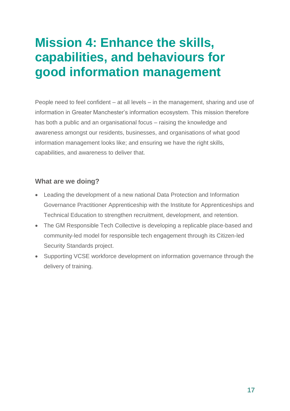## <span id="page-17-0"></span>**Mission 4: Enhance the skills, capabilities, and behaviours for good information management**

People need to feel confident – at all levels – in the management, sharing and use of information in Greater Manchester's information ecosystem. This mission therefore has both a public and an organisational focus – raising the knowledge and awareness amongst our residents, businesses, and organisations of what good information management looks like; and ensuring we have the right skills, capabilities, and awareness to deliver that.

- Leading the development of a new national Data Protection and Information Governance Practitioner Apprenticeship with the Institute for Apprenticeships and Technical Education to strengthen recruitment, development, and retention.
- The GM Responsible Tech Collective is developing a replicable place-based and community-led model for responsible tech engagement through its Citizen-led Security Standards project.
- Supporting VCSE workforce development on information governance through the delivery of training.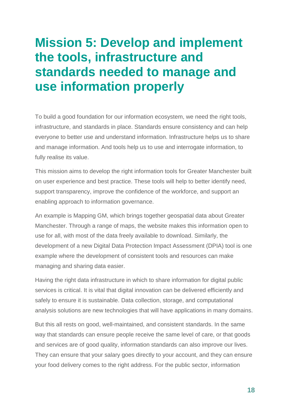## <span id="page-18-0"></span>**Mission 5: Develop and implement the tools, infrastructure and standards needed to manage and use information properly**

To build a good foundation for our information ecosystem, we need the right tools, infrastructure, and standards in place. Standards ensure consistency and can help everyone to better use and understand information. Infrastructure helps us to share and manage information. And tools help us to use and interrogate information, to fully realise its value.

This mission aims to develop the right information tools for Greater Manchester built on user experience and best practice. These tools will help to better identify need, support transparency, improve the confidence of the workforce, and support an enabling approach to information governance.

An example is Mapping GM, which brings together geospatial data about Greater Manchester. Through a range of maps, the website makes this information open to use for all, with most of the data freely available to download. Similarly, the development of a new Digital Data Protection Impact Assessment (DPIA) tool is one example where the development of consistent tools and resources can make managing and sharing data easier.

Having the right data infrastructure in which to share information for digital public services is critical. It is vital that digital innovation can be delivered efficiently and safely to ensure it is sustainable. Data collection, storage, and computational analysis solutions are new technologies that will have applications in many domains.

But this all rests on good, well-maintained, and consistent standards. In the same way that standards can ensure people receive the same level of care, or that goods and services are of good quality, information standards can also improve our lives. They can ensure that your salary goes directly to your account, and they can ensure your food delivery comes to the right address. For the public sector, information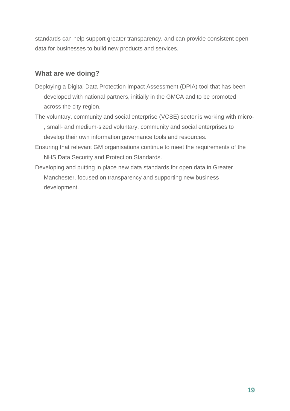standards can help support greater transparency, and can provide consistent open data for businesses to build new products and services.

- Deploying a Digital Data Protection Impact Assessment (DPIA) tool that has been developed with national partners, initially in the GMCA and to be promoted across the city region.
- The voluntary, community and social enterprise (VCSE) sector is working with micro- , small- and medium-sized voluntary, community and social enterprises to develop their own information governance tools and resources.
- Ensuring that relevant GM organisations continue to meet the requirements of the NHS Data Security and Protection Standards.
- Developing and putting in place new data standards for open data in Greater Manchester, focused on transparency and supporting new business development.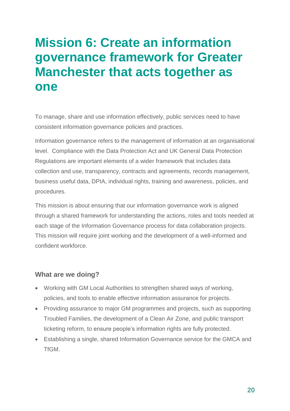## <span id="page-20-0"></span>**Mission 6: Create an information governance framework for Greater Manchester that acts together as one**

To manage, share and use information effectively, public services need to have consistent information governance policies and practices.

Information governance refers to the management of information at an organisational level. Compliance with the Data Protection Act and UK General Data Protection Regulations are important elements of a wider framework that includes data collection and use, transparency, contracts and agreements, records management, business useful data, DPIA, individual rights, training and awareness, policies, and procedures.

This mission is about ensuring that our information governance work is aligned through a shared framework for understanding the actions, roles and tools needed at each stage of the Information Governance process for data collaboration projects. This mission will require joint working and the development of a well-informed and confident workforce.

- Working with GM Local Authorities to strengthen shared ways of working, policies, and tools to enable effective information assurance for projects.
- Providing assurance to major GM programmes and projects, such as supporting Troubled Families, the development of a Clean Air Zone, and public transport ticketing reform, to ensure people's information rights are fully protected.
- Establishing a single, shared Information Governance service for the GMCA and **TfGM**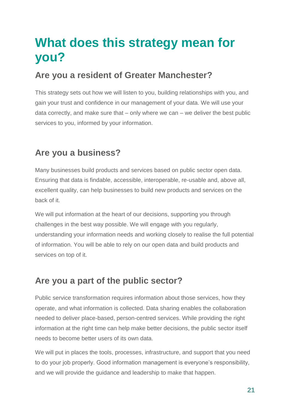## <span id="page-21-0"></span>**What does this strategy mean for you?**

### **Are you a resident of Greater Manchester?**

This strategy sets out how we will listen to you, building relationships with you, and gain your trust and confidence in our management of your data. We will use your data correctly, and make sure that – only where we can – we deliver the best public services to you, informed by your information.

### **Are you a business?**

Many businesses build products and services based on public sector open data. Ensuring that data is findable, accessible, interoperable, re-usable and, above all, excellent quality, can help businesses to build new products and services on the back of it.

We will put information at the heart of our decisions, supporting you through challenges in the best way possible. We will engage with you regularly, understanding your information needs and working closely to realise the full potential of information. You will be able to rely on our open data and build products and services on top of it.

### **Are you a part of the public sector?**

Public service transformation requires information about those services, how they operate, and what information is collected. Data sharing enables the collaboration needed to deliver place-based, person-centred services. While providing the right information at the right time can help make better decisions, the public sector itself needs to become better users of its own data.

We will put in places the tools, processes, infrastructure, and support that you need to do your job properly. Good information management is everyone's responsibility, and we will provide the guidance and leadership to make that happen.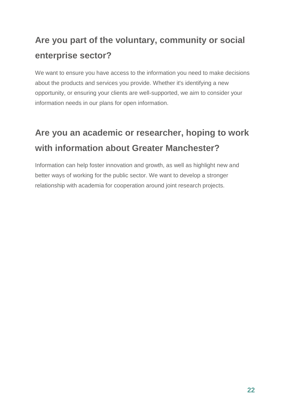## **Are you part of the voluntary, community or social enterprise sector?**

We want to ensure you have access to the information you need to make decisions about the products and services you provide. Whether it's identifying a new opportunity, or ensuring your clients are well-supported, we aim to consider your information needs in our plans for open information.

## **Are you an academic or researcher, hoping to work with information about Greater Manchester?**

Information can help foster innovation and growth, as well as highlight new and better ways of working for the public sector. We want to develop a stronger relationship with academia for cooperation around joint research projects.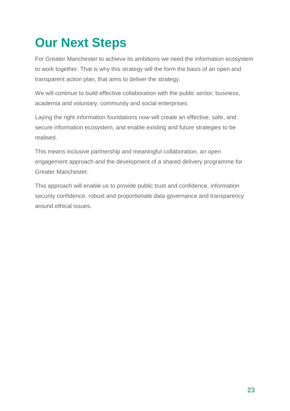# <span id="page-23-0"></span>**Our Next Steps**

For Greater Manchester to achieve its ambitions we need the information ecosystem to work together. That is why this strategy will the form the basis of an open and transparent action plan, that aims to deliver the strategy.

We will continue to build effective collaboration with the public sector, business, academia and voluntary, community and social enterprises.

Laying the right information foundations now will create an effective, safe, and secure information ecosystem, and enable existing and future strategies to be realised.

This means inclusive partnership and meaningful collaboration, an open engagement approach and the development of a shared delivery programme for Greater Manchester.

This approach will enable us to provide public trust and confidence, information security confidence, robust and proportionate data governance and transparency around ethical issues.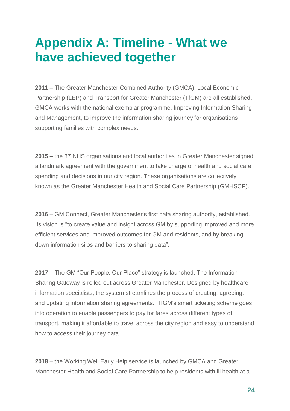## <span id="page-24-0"></span>**Appendix A: Timeline - What we have achieved together**

**2011** – The Greater Manchester Combined Authority (GMCA), Local Economic Partnership (LEP) and Transport for Greater Manchester (TfGM) are all established. GMCA works with the national exemplar programme, Improving Information Sharing and Management, to improve the information sharing journey for organisations supporting families with complex needs.

**2015** – the 37 NHS organisations and local authorities in Greater Manchester signed a landmark agreement with the government to take charge of health and social care spending and decisions in our city region. These organisations are collectively known as the Greater Manchester Health and Social Care Partnership (GMHSCP).

**2016** – GM Connect, Greater Manchester's first data sharing authority, established. Its vision is "to create value and insight across GM by supporting improved and more efficient services and improved outcomes for GM and residents, and by breaking down information silos and barriers to sharing data".

**2017** – The GM "Our People, Our Place" strategy is launched. The Information Sharing Gateway is rolled out across Greater Manchester. Designed by healthcare information specialists, the system streamlines the process of creating, agreeing, and updating information sharing agreements. TfGM's smart ticketing scheme goes into operation to enable passengers to pay for fares across different types of transport, making it affordable to travel across the city region and easy to understand how to access their journey data.

**2018** – the Working Well Early Help service is launched by GMCA and Greater Manchester Health and Social Care Partnership to help residents with ill health at a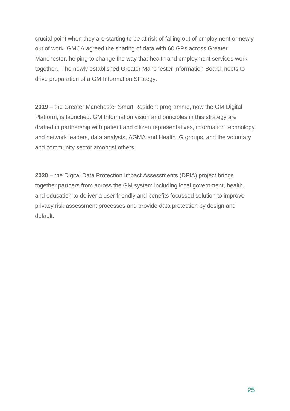crucial point when they are starting to be at risk of falling out of employment or newly out of work. GMCA agreed the sharing of data with 60 GPs across Greater Manchester, helping to change the way that health and employment services work together. The newly established Greater Manchester Information Board meets to drive preparation of a GM Information Strategy.

**2019** – the Greater Manchester Smart Resident programme, now the GM Digital Platform, is launched. GM Information vision and principles in this strategy are drafted in partnership with patient and citizen representatives, information technology and network leaders, data analysts, AGMA and Health IG groups, and the voluntary and community sector amongst others.

**2020** – the Digital Data Protection Impact Assessments (DPIA) project brings together partners from across the GM system including local government, health, and education to deliver a user friendly and benefits focussed solution to improve privacy risk assessment processes and provide data protection by design and default.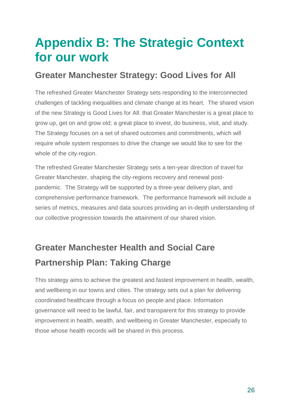## <span id="page-26-0"></span>**Appendix B: The Strategic Context for our work**

### **Greater Manchester Strategy: Good Lives for All**

The refreshed Greater Manchester Strategy sets responding to the interconnected challenges of tackling inequalities and climate change at its heart. The shared vision of the new Strategy is Good Lives for All: that Greater Manchester is a great place to grow up, get on and grow old; a great place to invest, do business, visit, and study. The Strategy focuses on a set of shared outcomes and commitments, which will require whole system responses to drive the change we would like to see for the whole of the city-region.

The refreshed Greater Manchester Strategy sets a ten-year direction of travel for Greater Manchester, shaping the city-regions recovery and renewal postpandemic. The Strategy will be supported by a three-year delivery plan, and comprehensive performance framework. The performance framework will include a series of metrics, measures and data sources providing an in-depth understanding of our collective progression towards the attainment of our shared vision.

## **Greater Manchester Health and Social Care Partnership Plan: Taking Charge**

This strategy aims to achieve the greatest and fastest improvement in health, wealth, and wellbeing in our towns and cities. The strategy sets out a plan for delivering coordinated healthcare through a focus on people and place. Information governance will need to be lawful, fair, and transparent for this strategy to provide improvement in health, wealth, and wellbeing in Greater Manchester, especially to those whose health records will be shared in this process.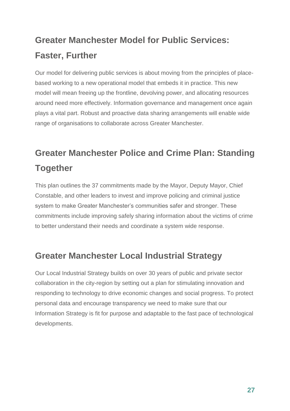## **Greater Manchester Model for Public Services: Faster, Further**

Our model for delivering public services is about moving from the principles of placebased working to a new operational model that embeds it in practice. This new model will mean freeing up the frontline, devolving power, and allocating resources around need more effectively. Information governance and management once again plays a vital part. Robust and proactive data sharing arrangements will enable wide range of organisations to collaborate across Greater Manchester.

## **Greater Manchester Police and Crime Plan: Standing Together**

This plan outlines the 37 commitments made by the Mayor, Deputy Mayor, Chief Constable, and other leaders to invest and improve policing and criminal justice system to make Greater Manchester's communities safer and stronger. These commitments include improving safely sharing information about the victims of crime to better understand their needs and coordinate a system wide response.

### **Greater Manchester Local Industrial Strategy**

Our Local Industrial Strategy builds on over 30 years of public and private sector collaboration in the city-region by setting out a plan for stimulating innovation and responding to technology to drive economic changes and social progress. To protect personal data and encourage transparency we need to make sure that our Information Strategy is fit for purpose and adaptable to the fast pace of technological developments.